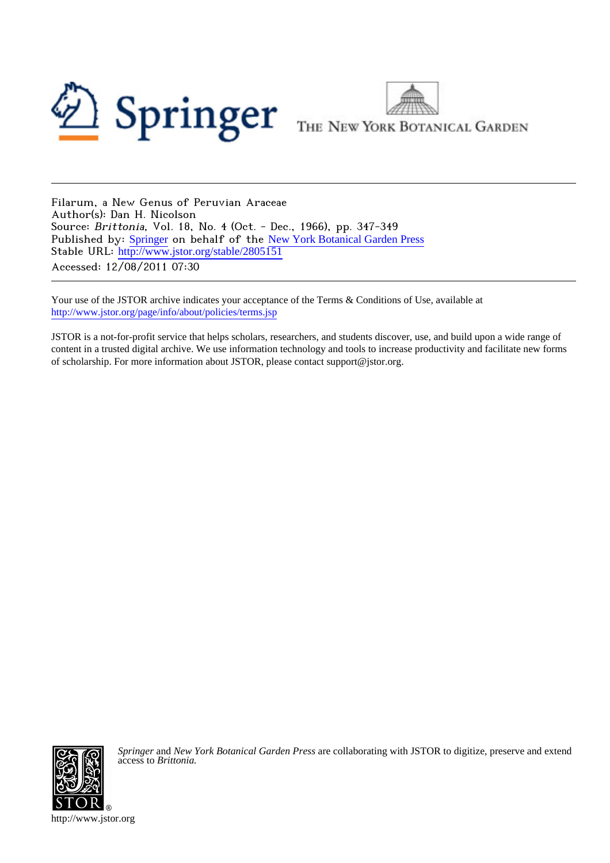



Filarum, a New Genus of Peruvian Araceae Author(s): Dan H. Nicolson Source: Brittonia, Vol. 18, No. 4 (Oct. - Dec., 1966), pp. 347-349 Published by: [Springer](http://www.jstor.org/action/showPublisher?publisherCode=springer) on behalf of the [New York Botanical Garden Press](http://www.jstor.org/action/showPublisher?publisherCode=nybg) Stable URL: [http://www.jstor.org/stable/2805151](http://www.jstor.org/stable/2805151?origin=JSTOR-pdf) Accessed: 12/08/2011 07:30

Your use of the JSTOR archive indicates your acceptance of the Terms & Conditions of Use, available at <http://www.jstor.org/page/info/about/policies/terms.jsp>

JSTOR is a not-for-profit service that helps scholars, researchers, and students discover, use, and build upon a wide range of content in a trusted digital archive. We use information technology and tools to increase productivity and facilitate new forms of scholarship. For more information about JSTOR, please contact support@jstor.org.



*Springer* and *New York Botanical Garden Press* are collaborating with JSTOR to digitize, preserve and extend access to *Brittonia.*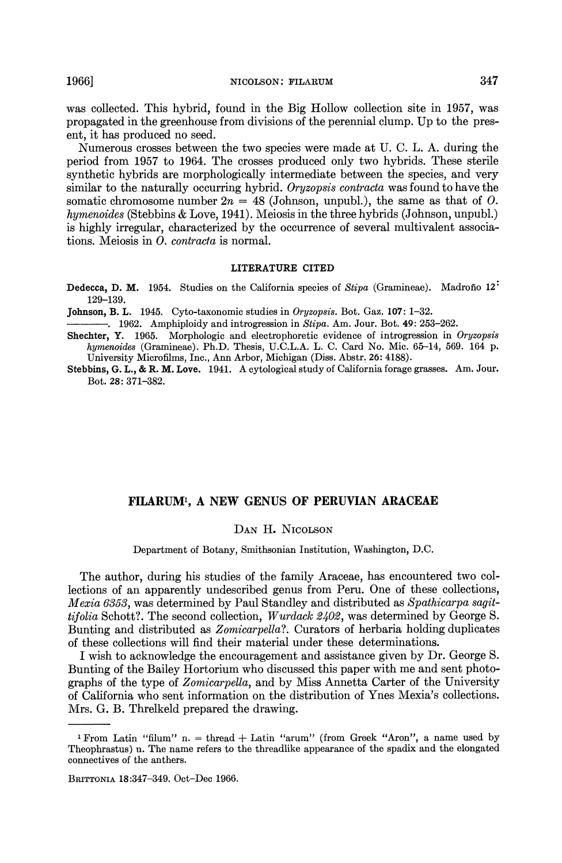was collected. This hybrid, found in the Big Hollow collection site in 1957, was propagated in the greenhouse from divisions of the perennial clump. Up to the present, it has produced no seed.

Numerous crosses between the two species were made at U. C. L. A. during the period from 1957 to 1964. The crosses produced only two hybrids. These sterile synthetic hybrids are morphologically intermediate between the species, and very similar to the naturally occurring hybrid. Oryzopsis contracta was found to have the somatic chromosome number  $2n = 48$  (Johnson, unpubl.), the same as that of O. hymenoides (Stebbins & Love, 1941). Meiosis in the three hybrids (Johnson, unpubl.) is highly irregular, characterized by the occurrence of several multivalent associations. Meiosis in *O. contracta* is normal.

#### LITERATURE CITED

Dedecca, D. M. 1954. Studies on the California species of Stipa (Gramineae). Madroño 12<sup>:</sup> 129-139.

Johnson, B. L. 1945. Cyto-taxonomic studies in Oryzopsis. Bot. Gaz. 107: 1-32.

 $-$ . 1962. Amphiploidy and introgression in Stipa. Am. Jour. Bot. 49: 253-262.

Shechter, Y. 1965. Morphologic and electrophoretic evidence of introgression in Oryzopsis hymenoides (Gramineae). Ph.D. Thesis, U.C.L.A. L. C. Card No. Mic. 65-14, 569. 164 p. University Microfilms, Inc., Ann Arbor, Michigan (Diss. Abstr. 26: 4188).

Stebbins, G. L., & R. M. Love. 1941. A cytological study of California forage grasses. Am. Jour. Bot. 28: 371-382.

# FILARUMI, A NEW GENUS OF PERUVIAN ARACEAE

## DAN H. NICOLSON

Department of Botany, Smithsonian Institution, Washington, D.C.

The author, during his studies of the family Araceae, has encountered two collections of an apparently undescribed genus from Peru. One of these collections, Mexia 6353, was determined by Paul Standley and distributed as Spathicarpa sagittifolia Schott?. The second collection, Wurdack 2402, was determined by George S. Bunting and distributed as Zomicarpella?. Curators of herbaria holding duplicates of these collections will find their material under these determinations.

I wish to acknowledge the encouragement and assistance given by Dr. George S. Bunting of the Bailey Hortorium who discussed this paper with me and sent photographs of the type of Zomicarpella, and by Miss Annetta Carter of the University of California who sent information on the distribution of Ynes Mexia's collections. Mrs. G. B. Threlkeld prepared the drawing.

<sup>&</sup>lt;sup>1</sup> From Latin "filum" n. = thread + Latin "arum" (from Greek "Aron", a name used by Theophrastus) n. The name refers to the threadlike appearance of the spadix and the elongated connectives of the anthers.

BRITTONIA 18:347-349. Oct-Dec 1966.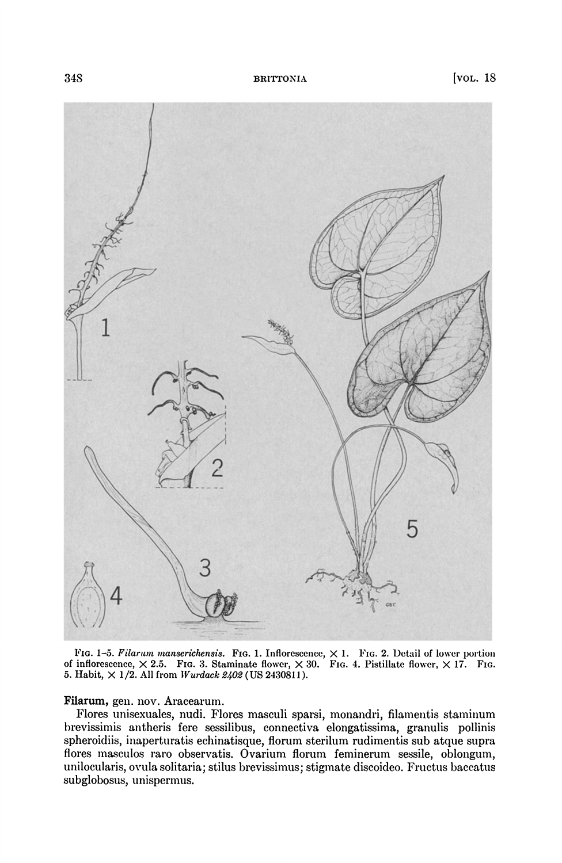

FIG. 1-5. Filarum manserichensis. FIG. 1. Inflorescence,  $\times$  1. FIG. 2. Detail of lower portion of inflorescence,  $\times$  2.5. FIG. 3. Staminate flower,  $\times$  30. FIG. 4. Pistillate flower,  $\times$  17. FIG. 5. Habit,  $\times$  1/2. All from *Wurdack 2402* (US 2430811).

## Filarum, gen. nov. Aracearum.

Flores unisexuales, nudi. Flores masculi sparsi, monandri, filamentis staminum brevissimis antheris fere sessilibus, connectiva elongatissima, granulis pollinis spheroidiis, inaperturatis echinatisque, florum sterilum rudimentis sub atque supra flores masculos raro observatis. Ovarium florum feminerum sessile, oblongum, unilocularis, ovula solitaria; stilus brevissimus; stigmate discoideo. Fructus baccatus subglobosus, unispermus.